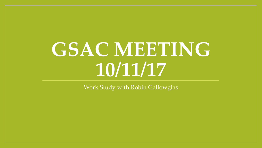# **GSAC MEETING 10/11/17**

Work Study with Robin Gallowglas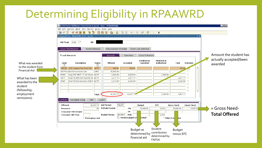## Determining Eligibility in RPAAWRD

|                      | Oracle Fusion Middleware Forms Services (prod) : Open > RPAAWRD [Q]<br>File Edit Options Block Item Record Query Tools Help<br>日の日1日相西日<br>命節<br>有Award Form RPAAWRD 8.27 (prod)<br>ान<br>1718<br>ID:<br>Aid Year: |                    | 8 8 8 8 6 1 8 1 8 1 9 1 4 1 4 1 6 1 8 1 9 1 2 |                              |                                                      |                         |                   |                                    | $\Box$ D $\times$                 |
|----------------------|--------------------------------------------------------------------------------------------------------------------------------------------------------------------------------------------------------------------|--------------------|-----------------------------------------------|------------------------------|------------------------------------------------------|-------------------------|-------------------|------------------------------------|-----------------------------------|
|                      | Award Maintenance                                                                                                                                                                                                  | Award Schedule     | Disbursement Schedule                         |                              | Direct Loan Interface                                |                         |                   |                                    | Amount the student has            |
| What was awarded     | <b>Fund Awards</b><br>Description<br>Fund<br>⊡                                                                                                                                                                     | <b>Status</b><br>⊡ | Amounts<br>Offered                            | Overrides<br>Accepted        | Locks/ Indicators<br><b>Declined or</b><br>Cancelled | Memoed or<br>Authorized | Paid              | Schedule                           | actually accepted/been<br>awarded |
| to the student from  | UCD Campus Fee Grant GD<br>CFGGD                                                                                                                                                                                   | <b>ACPT</b>        | 600.00                                        | 600.00                       |                                                      |                         | 200.00            |                                    |                                   |
| <b>Financial Aid</b> | DSTFDU Fed Direct Unsub Loan                                                                                                                                                                                       | OFRD               | 20,500.00                                     |                              |                                                      |                         |                   |                                    |                                   |
|                      | Supp PhD NRST 17-18-Stipen<br><b>FDWU</b>                                                                                                                                                                          | <b>ACPT</b>        | 4,000.00                                      | 4,000.00                     |                                                      | 1,300.00                |                   |                                    |                                   |
| What has been        | Grad TA Hith Rem Fee-Fall-GD<br><b>GHTF</b>                                                                                                                                                                        | <b>ACPT</b>        | 1,477.77                                      | 1,477.77                     |                                                      |                         | 1,477.77          | n.                                 |                                   |
| awarded to the       | <b>GTAF</b><br>Grad TA Fee Remission-Fall-G ACPT                                                                                                                                                                   |                    | 4,210.00                                      | 4,210.00                     |                                                      |                         | 4,210.00          | n.                                 |                                   |
| student              |                                                                                                                                                                                                                    |                    |                                               |                              |                                                      |                         |                   | $\Box$                             |                                   |
|                      |                                                                                                                                                                                                                    |                    |                                               |                              |                                                      |                         |                   | $\Box$                             |                                   |
| (fellowship,         |                                                                                                                                                                                                                    |                    |                                               |                              |                                                      |                         |                   | $\Box$<br>$\overline{\phantom{a}}$ |                                   |
| employment           |                                                                                                                                                                                                                    | <b>Total:</b>      | 30,787.77                                     | 10,287.77                    |                                                      | 1,300.00                | 5,887.77          |                                    |                                   |
| remissions)          |                                                                                                                                                                                                                    |                    |                                               |                              |                                                      |                         |                   |                                    |                                   |
|                      | Packaging Group<br>Pell<br>Summary                                                                                                                                                                                 | Loans              |                                               |                              |                                                      |                         |                   |                                    |                                   |
|                      | Offered:                                                                                                                                                                                                           | 30,787.77          | <b>Aid Period:</b><br><b>FULLGR</b>           |                              | <b>Budget</b>                                        | EFC                     | <b>Gross Need</b> | <b>Unmet Need</b>                  |                                   |
|                      | Resource:                                                                                                                                                                                                          | .00 <sub>1</sub>   | <b>Pell Aid Period:</b>                       | FM:                          | 36,444.00                                            | 1,038                   | 35,406.00         | 5,656.23                           | = Gross Need-                     |
|                      | <b>Crossover Pell Award:</b>                                                                                                                                                                                       |                    |                                               | IM:                          |                                                      |                         |                   |                                    |                                   |
|                      | <b>Crossover Aid Year:</b>                                                                                                                                                                                         |                    | <b>Budget Group:</b>                          | GROFNH <sup>1</sup><br>Pell: |                                                      | 1,038                   |                   |                                    | <b>Total Offered</b>              |
|                      | $\Box$ Packaging Lock                                                                                                                                                                                              |                    |                                               | <b>Period Budget Gr</b>      | Detail                                               | <b>BBAYS AV</b>         | <b>l</b> led      |                                    |                                   |
|                      |                                                                                                                                                                                                                    |                    |                                               |                              |                                                      |                         |                   |                                    |                                   |
|                      |                                                                                                                                                                                                                    |                    |                                               |                              |                                                      |                         |                   |                                    |                                   |
|                      |                                                                                                                                                                                                                    |                    |                                               |                              | Budget as                                            | Student                 | <b>Budget</b>     |                                    |                                   |
|                      |                                                                                                                                                                                                                    |                    |                                               |                              | determined by                                        | contribution            | minus EFC         |                                    |                                   |
|                      |                                                                                                                                                                                                                    |                    |                                               |                              | financial aid                                        | determined by           |                   |                                    |                                   |
|                      |                                                                                                                                                                                                                    |                    |                                               |                              |                                                      | <b>FAFSA</b>            |                   |                                    |                                   |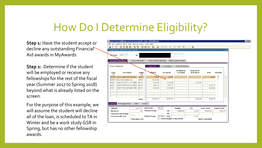### How Do I Determine Eligibility?

**Step 1:** Have the student accept or decline any outstanding Financial Aid awards in MyAwards.

**Step 2:** Determine if the student will be employed or receive any fellowships for the rest of the fiscal year (Summer 2017 to Spring 2018) beyond what is already listed on the screen.

For the purpose of this example, we will assume the student will decline all of the loan, is scheduled to TA in Winter and be a work study GSR in Spring, but has no other fellowship awards.

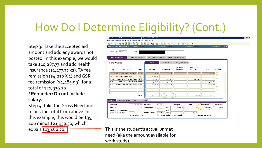## How Do I Determine Eligibility? (Cont.)

Step 3: Take the accepted aid amount and add any awards not posted. In this example, we would take \$10,287.77 and add health insurance (\$1,477.77 x2), TA fee remission ( $\frac{4}{2}$ 210 X 1) and GSR fee remission (\$4,485.99), for a total of \$21,939.30. **\*Reminder: Do not include** 

**salary.** Step 4: Take the Gross Need and

minus the total from above. In this example, this would be \$35, 406 minus \$21,939.30, which



equals  $\frac{1}{3}$ , 466.70.  $\left| \frac{1}{1} \right|$  This is the student's actual unmet need (aka the amount available for work study).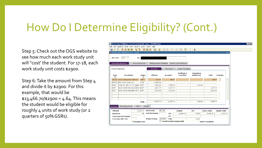### How Do I Determine Eligibility? (Cont.)

Step 5: Check out the OGS website to see how much each work study unit will "cost' the student. For 17-18, each work study unit costs \$2900.

Step 6: Take the amount from Step 4 and divide it by \$2900. For this example, that would be  $$13,466.70$   $$2900 = 4.64$ . This means the student would be eligible for roughly 4 units of work study (or 2 quarters of 50% GSRs).

|                    | Oracle Fusion Middleware Forms Services (prod): Open > RPAAWRD [0] |                    |                       |                                             |                                 |                         |                      |                   |   |
|--------------------|--------------------------------------------------------------------|--------------------|-----------------------|---------------------------------------------|---------------------------------|-------------------------|----------------------|-------------------|---|
|                    | File Edit Options Block Item Record Query Tools Help               |                    |                       |                                             |                                 |                         |                      |                   |   |
|                    | 匍<br>日の日1泊伯因同1                                                     | $7 - 12$           |                       | 8 8 9 1 8 1 8 1 9 8 1 4 1 4 1 6 1 7 1 9 1 8 |                                 |                         |                      |                   |   |
|                    |                                                                    |                    |                       |                                             |                                 |                         |                      |                   |   |
|                    |                                                                    |                    |                       |                                             |                                 |                         |                      |                   |   |
| Aid Year:          | $\mathbb{F}$<br>1718<br>ID:                                        |                    |                       |                                             |                                 |                         |                      |                   |   |
|                    |                                                                    |                    |                       |                                             |                                 |                         |                      |                   |   |
| Award Maintenance  | Award Schedule                                                     |                    | Disbursement Schedule |                                             | Direct Loan Interface           |                         |                      |                   |   |
|                    |                                                                    |                    |                       |                                             |                                 |                         |                      |                   |   |
| <b>Fund Awards</b> |                                                                    |                    | <b>Amounts</b>        | Overrides                                   | Locks/ Indicators               |                         |                      |                   |   |
|                    |                                                                    |                    |                       |                                             |                                 |                         |                      |                   |   |
|                    | Description                                                        |                    | Offered               | Accepted                                    | <b>Declined or</b><br>Cancelled | Memoed or<br>Authorized | Paid                 | <b>Schedule</b>   |   |
| Fund<br>◥          |                                                                    | <b>Status</b><br>◥ |                       |                                             |                                 |                         |                      |                   |   |
| <b>CFGGD</b>       | UCD Campus Fee Grant GD                                            | <b>ACPT</b>        | 600.00                | 600.00                                      |                                 |                         |                      | 200.00            |   |
|                    | DSTFDU Fed Direct Unsub Loan                                       | OFRD               | 20,500.00             |                                             |                                 |                         |                      | □                 |   |
| FDWU               | Supp PhD NRST 17-18-Stipen                                         | <b>ACPT</b>        | 4,000.00              | 4,000.00                                    |                                 | 1,300.00                |                      | п                 |   |
| GHTF               | Grad TA Hith Rem Fee-Fall-GL ACPT                                  |                    | 1,477.77              | 1,477.77                                    |                                 |                         | 1,477.77             | □                 |   |
| <b>GTAF</b>        | Grad TA Fee Remission-Fall-G                                       | <b>ACPT</b>        | 4,210.00              | 4,210.00                                    |                                 |                         | 4,210.00             | л                 |   |
|                    |                                                                    |                    |                       |                                             |                                 |                         |                      | $\Box$            |   |
|                    |                                                                    |                    |                       |                                             |                                 |                         |                      | П                 |   |
|                    |                                                                    |                    |                       |                                             |                                 |                         |                      | П                 | ₹ |
|                    |                                                                    | Total:             | 30,787.77             | 10,287.77                                   |                                 | 1,300.00                | 5,887.77             |                   |   |
|                    |                                                                    |                    |                       |                                             |                                 |                         |                      |                   |   |
|                    | Summary Packaging Group<br>Pell                                    |                    | Loans                 |                                             |                                 |                         |                      |                   |   |
| Offered:           |                                                                    | 30,787.77          | Aid Period:           | <b>FULLGR</b>                               | <b>Budget</b>                   | <b>EFC</b>              | <b>Gross Need</b>    | <b>Unmet Need</b> |   |
| Resource:          |                                                                    | .00.               | Pell Aid Period:      | FM:                                         | 36,444.00                       | 1,038                   | 35,406.00            | 5,656.23          |   |
|                    | Crossover Pell Award:                                              |                    |                       | IM:                                         |                                 |                         |                      |                   |   |
|                    | <b>Crossover Aid Year:</b>                                         |                    | <b>Budget Group:</b>  | Pell:<br><b>GROFNH</b>                      |                                 | 1,038                   |                      |                   |   |
|                    | $\Box$ Packaging Lock                                              |                    |                       | Period Budget Group Detail                  |                                 |                         | <b>BBAYS Awarded</b> |                   |   |
|                    |                                                                    |                    |                       |                                             |                                 |                         |                      |                   |   |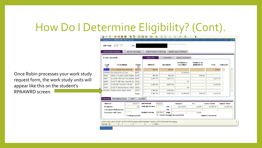## How Do I Determine Eligibility? (Cont).

Once Robin processes your work study request form, the work study units will appear like this on the student's RPAAWRD screen.

|                                  | Award Maintenance<br>Award Schedule |                              | Disbursement Schedule                         |                                   | Direct Loan Interface      |                         |                                |                                |
|----------------------------------|-------------------------------------|------------------------------|-----------------------------------------------|-----------------------------------|----------------------------|-------------------------|--------------------------------|--------------------------------|
|                                  | <b>Fund Awards</b>                  |                              | Amounts                                       | Overrides                         | Locks/ Indicators          |                         |                                |                                |
| Fund<br>$\overline{\phantom{a}}$ | <b>Description</b>                  | <b>Status</b><br>۰           | Offered                                       | Accepted                          | Declined or<br>Cancelled   | Memoed or<br>Authorized | Paid                           | Schedule                       |
| <b>CFGGD</b>                     | UCD Campus Fee Grant GD             | <b>ACPT</b>                  | 600.00                                        | 600.00                            |                            |                         | 200.00                         | $\blacktriangle$<br>$\Box$     |
| DSTFDU                           | Fed Direct Unsub Loan               | DECL                         |                                               |                                   | 20,500.00                  |                         |                                | п                              |
| FDHU                             | 2016-17 Grad Prog Fel-Stipen        | <b>ACPT</b>                  | 500.00                                        | 500.00                            |                            | 500.00                  |                                | П                              |
| GHRF                             | Grad RA Hith Rem Fee-Fall-GL        | <b>ACPT</b>                  | 1,477.77                                      | 1,477.77                          |                            |                         | 1,477.77                       | □                              |
| GHTF                             | Grad TA Hith Rem Fee-Fall-GD        | CNCL                         |                                               |                                   | .00.                       |                         |                                | ш                              |
| GRAF                             | Grad GSR Fee Rem-Fall-GD            | ACPT                         | 4,485.99                                      | 4,485.99                          |                            |                         | 4,485.99                       | п                              |
| GTAF                             | Grad TA Fee Remission-Fall-G        | CNCL                         |                                               |                                   | .00                        |                         |                                | П                              |
| <b>WORKG</b>                     | Federal Work-Study Grad             | <b>ACPT</b>                  | 2,900.00                                      | 2,900.00                          |                            |                         |                                | п<br>$\overline{\mathbf{v}}$   |
|                                  |                                     | <b>Total:</b>                | 9,963.76                                      | 9,963.76                          | 20,500.00                  | 500.00                  | 6,163.76                       |                                |
| Summary                          | Packaging Group<br>Pell             |                              | Loans                                         |                                   |                            |                         |                                |                                |
| Offered:<br>Resource:            |                                     | 9,963.76<br>.00 <sub>1</sub> | <b>Aid Period:</b><br><b>Pell Aid Period:</b> | <b>FULLGR</b><br>FM:              | <b>Budget</b><br>36,444.00 | <b>EFC</b><br>4,485     | <b>Gross Need</b><br>31,959.00 | <b>Unmet Need</b><br>21,995.24 |
|                                  | <b>Crossover Pell Award:</b>        |                              |                                               | IM:                               |                            |                         |                                |                                |
|                                  | <b>Crossover Aid Year:</b>          |                              | <b>Budget Group:</b>                          | GROFNH<br>Pell:                   |                            | 4,485                   |                                |                                |
|                                  | $\Box$ Packaging Lock               |                              | 倶                                             | <b>Period Budget Group Detail</b> |                            |                         | □BBAYS Awarded                 |                                |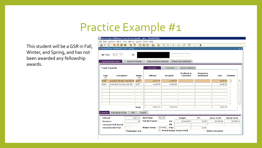## Practice Example #1

This student will be a GSR in Fall, Winter, and Spring, and has not been awarded any fellowship awards.

| Oracle Fusion Middleware Forms Services (prod) : Open > RPAAWRD [Q] |                       |                                    |                                         |                                 |                         |                   |                         |
|---------------------------------------------------------------------|-----------------------|------------------------------------|-----------------------------------------|---------------------------------|-------------------------|-------------------|-------------------------|
| File Edit Options Block Item Record Query Tools Help                |                       |                                    |                                         |                                 |                         |                   |                         |
| 相相<br>a)<br>圓<br><b>In</b><br>E                                     | 囹<br>御<br>12<br>Ð     | 圃<br>$\mathbf{x}$<br>$\bigoplus$ ( | $\mathbb{Q}$<br>昌「                      | 图 「咪 「● 「● 「◎ 」● 「 X            |                         |                   |                         |
|                                                                     |                       |                                    |                                         |                                 |                         |                   |                         |
|                                                                     |                       |                                    |                                         |                                 |                         |                   |                         |
| $\vert \nabla$<br>Aid Year:<br>1718                                 | ID:                   |                                    |                                         |                                 |                         |                   |                         |
|                                                                     |                       |                                    |                                         |                                 |                         |                   |                         |
| Award Maintenance                                                   | Award Schedule        | Disbursement Schedule              |                                         | Direct Loan Interface           |                         |                   |                         |
| <b>Fund Awards</b>                                                  |                       | <b>Amounts</b>                     | Overrides                               | Locks/ Indicators               |                         |                   |                         |
| Description<br>Fund                                                 | Status                | Offered                            | Accepted                                | <b>Declined or</b><br>Cancelled | Memoed or<br>Authorized | Paid              | <b>Schedule</b>         |
| ▼<br>Grad RA Hith Rem Fee-Fall-GI<br><b>GHRF</b>                    | ۰<br><b>ACPT</b>      | 1,477.77                           | 1,477.77                                |                                 |                         | 1,477.77          | ×                       |
| GRAF<br>Grad GSR Fee Rem-Fall-GD                                    | <b>ACPT</b>           | 4,485.99                           | 4,485.99                                |                                 |                         | 4,485.99          | □                       |
|                                                                     |                       |                                    |                                         |                                 |                         |                   | $\Box$                  |
|                                                                     |                       |                                    |                                         |                                 |                         |                   | $\Box$                  |
|                                                                     |                       |                                    |                                         |                                 |                         |                   | □                       |
|                                                                     |                       |                                    |                                         |                                 |                         |                   | □                       |
|                                                                     |                       |                                    |                                         |                                 |                         |                   | □                       |
|                                                                     |                       |                                    |                                         |                                 |                         |                   | $\blacksquare$          |
|                                                                     |                       | 5,963.76                           | 5,963.76                                |                                 |                         | 5,963.76          | $\overline{\mathbf{v}}$ |
|                                                                     | <b>Total:</b>         |                                    |                                         |                                 |                         |                   |                         |
| Packaging Group<br>Summary                                          | Pell                  | Loans                              |                                         |                                 |                         |                   |                         |
| Offered:                                                            | 5,963.76              | Aid Period:                        | <b>FULLGR</b>                           | <b>Budget</b>                   | <b>EFC</b>              | <b>Gross Need</b> | <b>Unmet Need</b>       |
| Resource:                                                           | .00                   | <b>Pell Aid Period:</b>            | FM:                                     | 36,444.00                       | 5,698                   | 30,746.00         | 24,782.24               |
| <b>Crossover Pell Award:</b>                                        |                       |                                    | IM:                                     |                                 |                         |                   |                         |
| <b>Crossover Aid Year:</b>                                          |                       | <b>Budget Group:</b>               | <b>GROFNH</b><br>Pell:                  |                                 | 5,698                   |                   |                         |
|                                                                     | <b>Packaging Lock</b> |                                    | E.<br><b>Period Budget Group Detail</b> |                                 |                         | □BBAYS Awarded    |                         |